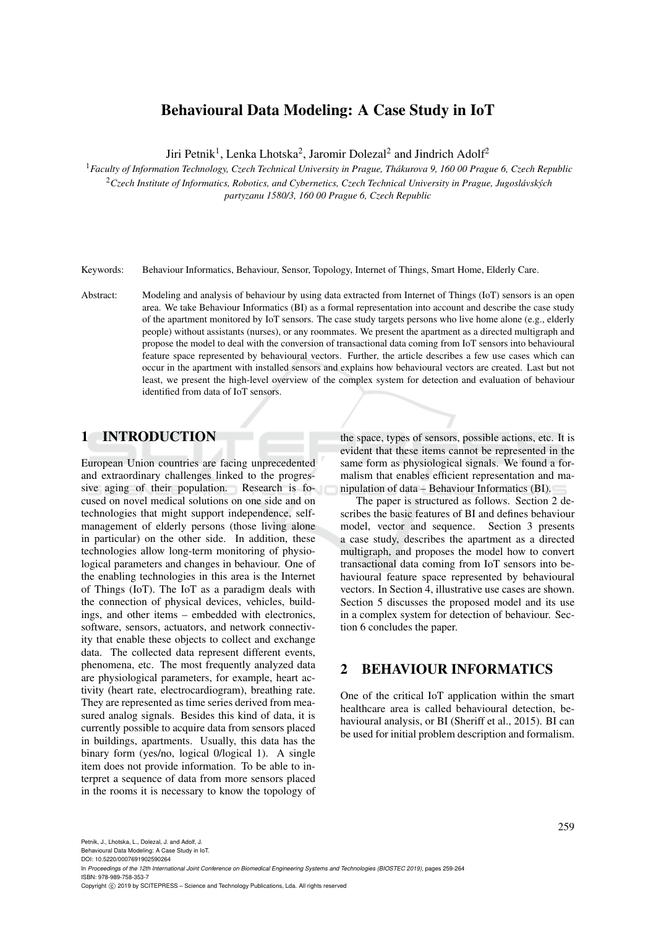# Behavioural Data Modeling: A Case Study in IoT

Jiri Petnik<sup>1</sup>, Lenka Lhotska<sup>2</sup>, Jaromir Dolezal<sup>2</sup> and Jindrich Adolf<sup>2</sup>

<sup>1</sup>*Faculty of Information Technology, Czech Technical University in Prague, Thakurova 9, 160 00 Prague 6, Czech Republic ´* <sup>2</sup>*Czech Institute of Informatics, Robotics, and Cybernetics, Czech Technical University in Prague, Jugoslavsk ´ ych ´*

*partyzanu 1580/3, 160 00 Prague 6, Czech Republic*

Keywords: Behaviour Informatics, Behaviour, Sensor, Topology, Internet of Things, Smart Home, Elderly Care.

Abstract: Modeling and analysis of behaviour by using data extracted from Internet of Things (IoT) sensors is an open area. We take Behaviour Informatics (BI) as a formal representation into account and describe the case study of the apartment monitored by IoT sensors. The case study targets persons who live home alone (e.g., elderly people) without assistants (nurses), or any roommates. We present the apartment as a directed multigraph and propose the model to deal with the conversion of transactional data coming from IoT sensors into behavioural feature space represented by behavioural vectors. Further, the article describes a few use cases which can occur in the apartment with installed sensors and explains how behavioural vectors are created. Last but not least, we present the high-level overview of the complex system for detection and evaluation of behaviour identified from data of IoT sensors.

#### 1 INTRODUCTION

European Union countries are facing unprecedented and extraordinary challenges linked to the progressive aging of their population. Research is focused on novel medical solutions on one side and on technologies that might support independence, selfmanagement of elderly persons (those living alone in particular) on the other side. In addition, these technologies allow long-term monitoring of physiological parameters and changes in behaviour. One of the enabling technologies in this area is the Internet of Things (IoT). The IoT as a paradigm deals with the connection of physical devices, vehicles, buildings, and other items – embedded with electronics, software, sensors, actuators, and network connectivity that enable these objects to collect and exchange data. The collected data represent different events, phenomena, etc. The most frequently analyzed data are physiological parameters, for example, heart activity (heart rate, electrocardiogram), breathing rate. They are represented as time series derived from measured analog signals. Besides this kind of data, it is currently possible to acquire data from sensors placed in buildings, apartments. Usually, this data has the binary form (yes/no, logical 0/logical 1). A single item does not provide information. To be able to interpret a sequence of data from more sensors placed in the rooms it is necessary to know the topology of

the space, types of sensors, possible actions, etc. It is evident that these items cannot be represented in the same form as physiological signals. We found a formalism that enables efficient representation and manipulation of data – Behaviour Informatics (BI).

The paper is structured as follows. Section 2 describes the basic features of BI and defines behaviour model, vector and sequence. Section 3 presents a case study, describes the apartment as a directed multigraph, and proposes the model how to convert transactional data coming from IoT sensors into behavioural feature space represented by behavioural vectors. In Section 4, illustrative use cases are shown. Section 5 discusses the proposed model and its use in a complex system for detection of behaviour. Section 6 concludes the paper.

## 2 BEHAVIOUR INFORMATICS

One of the critical IoT application within the smart healthcare area is called behavioural detection, behavioural analysis, or BI (Sheriff et al., 2015). BI can be used for initial problem description and formalism.

Behavioural Data Modeling: A Case Study in IoT.

DOI: 10.5220/0007691902590264

In *Proceedings of the 12th International Joint Conference on Biomedical Engineering Systems and Technologies (BIOSTEC 2019)*, pages 259-264 ISBN: 978-989-758-353-7

Copyright © 2019 by SCITEPRESS - Science and Technology Publications, Lda. All rights reserved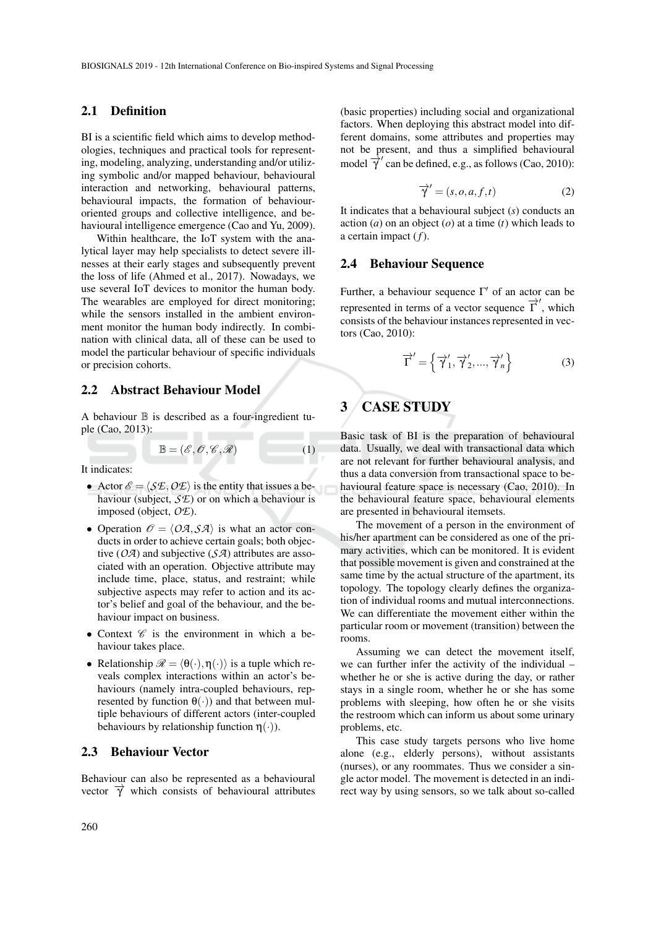#### 2.1 Definition

BI is a scientific field which aims to develop methodologies, techniques and practical tools for representing, modeling, analyzing, understanding and/or utilizing symbolic and/or mapped behaviour, behavioural interaction and networking, behavioural patterns, behavioural impacts, the formation of behaviouroriented groups and collective intelligence, and behavioural intelligence emergence (Cao and Yu, 2009).

Within healthcare, the IoT system with the analytical layer may help specialists to detect severe illnesses at their early stages and subsequently prevent the loss of life (Ahmed et al., 2017). Nowadays, we use several IoT devices to monitor the human body. The wearables are employed for direct monitoring; while the sensors installed in the ambient environment monitor the human body indirectly. In combination with clinical data, all of these can be used to model the particular behaviour of specific individuals or precision cohorts.

#### 2.2 Abstract Behaviour Model

A behaviour  $\mathbb B$  is described as a four-ingredient tuple (Cao, 2013):

$$
\mathbb{B} = (\mathscr{E}, \mathscr{O}, \mathscr{C}, \mathscr{R}) \tag{1}
$$

It indicates:

- Actor  $\mathscr{E} = \langle \mathcal{S} \mathcal{E}, O \mathcal{E} \rangle$  is the entity that issues a behaviour (subject, *SE*) or on which a behaviour is imposed (object, *OE*).
- Operation  $\mathcal{O} = \langle O\mathcal{A}, \mathcal{S}\mathcal{A} \rangle$  is what an actor conducts in order to achieve certain goals; both objective (*OA*) and subjective (*SA*) attributes are associated with an operation. Objective attribute may include time, place, status, and restraint; while subjective aspects may refer to action and its actor's belief and goal of the behaviour, and the behaviour impact on business.
- Context  $\mathscr C$  is the environment in which a behaviour takes place.
- Relationship  $\mathcal{R} = \langle \theta(\cdot), \eta(\cdot) \rangle$  is a tuple which reveals complex interactions within an actor's behaviours (namely intra-coupled behaviours, represented by function  $\theta(\cdot)$  and that between multiple behaviours of different actors (inter-coupled behaviours by relationship function  $\eta(\cdot)$ ).

## 2.3 Behaviour Vector

Behaviour can also be represented as a behavioural vector  $\vec{\gamma}$  which consists of behavioural attributes

(basic properties) including social and organizational factors. When deploying this abstract model into different domains, some attributes and properties may not be present, and thus a simplified behavioural model  $\overrightarrow{\gamma}$  can be defined, e.g., as follows (Cao, 2010):

$$
\overrightarrow{\gamma}^{\prime} = (s, o, a, f, t) \tag{2}
$$

It indicates that a behavioural subject (*s*) conducts an action (*a*) on an object (*o*) at a time (*t*) which leads to a certain impact (*f*).

### 2.4 Behaviour Sequence

Further, a behaviour sequence  $\Gamma'$  of an actor can be represented in terms of a vector sequence  $\overrightarrow{\Gamma}'$ , which consists of the behaviour instances represented in vectors (Cao, 2010):

$$
\overrightarrow{\Gamma}^{\prime} = \left\{ \overrightarrow{\gamma}_{1}^{\prime}, \overrightarrow{\gamma}_{2}^{\prime}, ..., \overrightarrow{\gamma}_{n}^{\prime} \right\}
$$
 (3)

# 3 CASE STUDY

Basic task of BI is the preparation of behavioural data. Usually, we deal with transactional data which are not relevant for further behavioural analysis, and thus a data conversion from transactional space to behavioural feature space is necessary (Cao, 2010). In the behavioural feature space, behavioural elements are presented in behavioural itemsets.

The movement of a person in the environment of his/her apartment can be considered as one of the primary activities, which can be monitored. It is evident that possible movement is given and constrained at the same time by the actual structure of the apartment, its topology. The topology clearly defines the organization of individual rooms and mutual interconnections. We can differentiate the movement either within the particular room or movement (transition) between the rooms.

Assuming we can detect the movement itself, we can further infer the activity of the individual – whether he or she is active during the day, or rather stays in a single room, whether he or she has some problems with sleeping, how often he or she visits the restroom which can inform us about some urinary problems, etc.

This case study targets persons who live home alone (e.g., elderly persons), without assistants (nurses), or any roommates. Thus we consider a single actor model. The movement is detected in an indirect way by using sensors, so we talk about so-called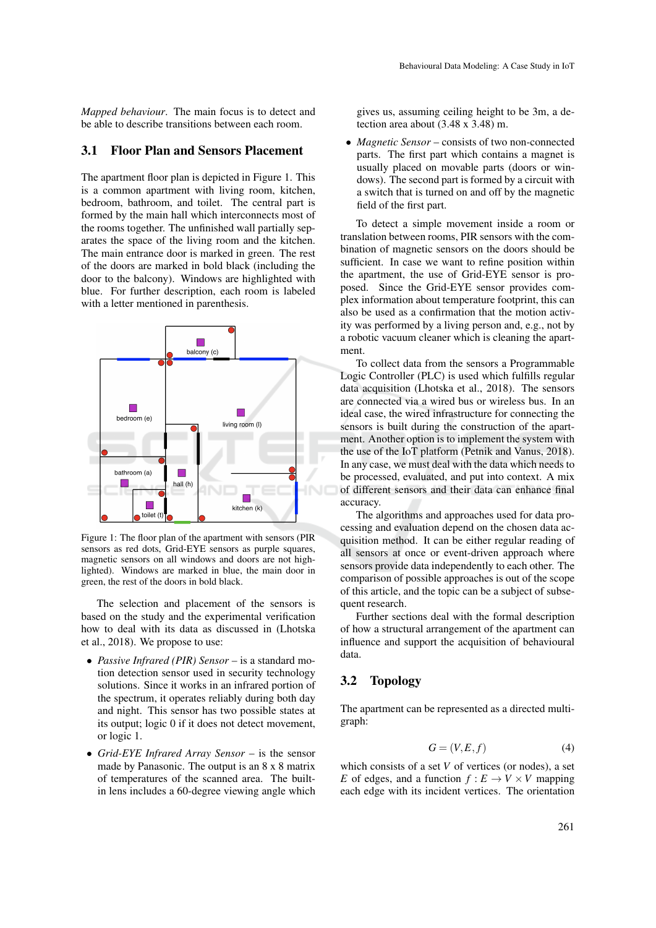*Mapped behaviour*. The main focus is to detect and be able to describe transitions between each room.

#### 3.1 Floor Plan and Sensors Placement

The apartment floor plan is depicted in Figure 1. This is a common apartment with living room, kitchen, bedroom, bathroom, and toilet. The central part is formed by the main hall which interconnects most of the rooms together. The unfinished wall partially separates the space of the living room and the kitchen. The main entrance door is marked in green. The rest of the doors are marked in bold black (including the door to the balcony). Windows are highlighted with blue. For further description, each room is labeled with a letter mentioned in parenthesis.



Figure 1: The floor plan of the apartment with sensors (PIR sensors as red dots, Grid-EYE sensors as purple squares, magnetic sensors on all windows and doors are not highlighted). Windows are marked in blue, the main door in green, the rest of the doors in bold black.

The selection and placement of the sensors is based on the study and the experimental verification how to deal with its data as discussed in (Lhotska et al., 2018). We propose to use:

- *Passive Infrared (PIR) Sensor* is a standard motion detection sensor used in security technology solutions. Since it works in an infrared portion of the spectrum, it operates reliably during both day and night. This sensor has two possible states at its output; logic 0 if it does not detect movement, or logic 1.
- *Grid-EYE Infrared Array Sensor* is the sensor made by Panasonic. The output is an 8 x 8 matrix of temperatures of the scanned area. The builtin lens includes a 60-degree viewing angle which

gives us, assuming ceiling height to be 3m, a detection area about (3.48 x 3.48) m.

• *Magnetic Sensor* – consists of two non-connected parts. The first part which contains a magnet is usually placed on movable parts (doors or windows). The second part is formed by a circuit with a switch that is turned on and off by the magnetic field of the first part.

To detect a simple movement inside a room or translation between rooms, PIR sensors with the combination of magnetic sensors on the doors should be sufficient. In case we want to refine position within the apartment, the use of Grid-EYE sensor is proposed. Since the Grid-EYE sensor provides complex information about temperature footprint, this can also be used as a confirmation that the motion activity was performed by a living person and, e.g., not by a robotic vacuum cleaner which is cleaning the apartment.

To collect data from the sensors a Programmable Logic Controller (PLC) is used which fulfills regular data acquisition (Lhotska et al., 2018). The sensors are connected via a wired bus or wireless bus. In an ideal case, the wired infrastructure for connecting the sensors is built during the construction of the apartment. Another option is to implement the system with the use of the IoT platform (Petnik and Vanus, 2018). In any case, we must deal with the data which needs to be processed, evaluated, and put into context. A mix of different sensors and their data can enhance final accuracy.

The algorithms and approaches used for data processing and evaluation depend on the chosen data acquisition method. It can be either regular reading of all sensors at once or event-driven approach where sensors provide data independently to each other. The comparison of possible approaches is out of the scope of this article, and the topic can be a subject of subsequent research.

Further sections deal with the formal description of how a structural arrangement of the apartment can influence and support the acquisition of behavioural data.

#### 3.2 Topology

The apartment can be represented as a directed multigraph:

$$
G = (V, E, f) \tag{4}
$$

which consists of a set *V* of vertices (or nodes), a set *E* of edges, and a function  $f: E \to V \times V$  mapping each edge with its incident vertices. The orientation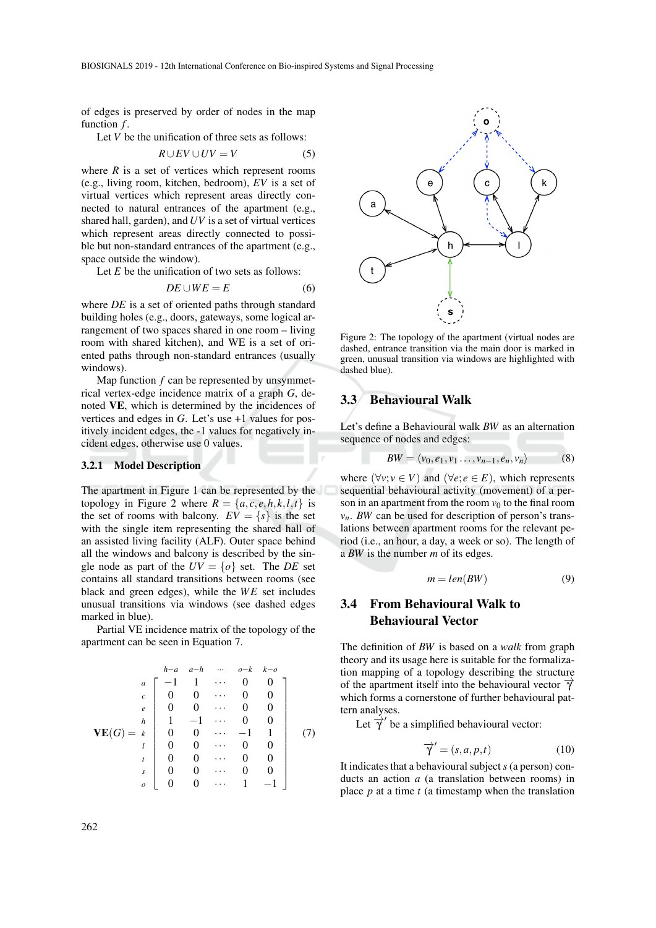of edges is preserved by order of nodes in the map function  $f$ .

Let *V* be the unification of three sets as follows:

$$
R \cup EV \cup UV = V \tag{5}
$$

where  $R$  is a set of vertices which represent rooms (e.g., living room, kitchen, bedroom), *EV* is a set of virtual vertices which represent areas directly connected to natural entrances of the apartment (e.g., shared hall, garden), and *UV* is a set of virtual vertices which represent areas directly connected to possible but non-standard entrances of the apartment (e.g., space outside the window).

Let *E* be the unification of two sets as follows:

$$
DE \cup WE = E \tag{6}
$$

where *DE* is a set of oriented paths through standard building holes (e.g., doors, gateways, some logical arrangement of two spaces shared in one room – living room with shared kitchen), and WE is a set of oriented paths through non-standard entrances (usually windows).

Map function *f* can be represented by unsymmetrical vertex-edge incidence matrix of a graph *G*, denoted VE, which is determined by the incidences of vertices and edges in *G*. Let's use +1 values for positively incident edges, the -1 values for negatively incident edges, otherwise use 0 values.

#### 3.2.1 Model Description

The apartment in Figure 1 can be represented by the topology in Figure 2 where  $R = \{a, c, e, h, k, l, t\}$  is the set of rooms with balcony.  $EV = \{s\}$  is the set with the single item representing the shared hall of an assisted living facility (ALF). Outer space behind all the windows and balcony is described by the single node as part of the  $UV = \{o\}$  set. The *DE* set contains all standard transitions between rooms (see black and green edges), while the WE set includes unusual transitions via windows (see dashed edges marked in blue).

Partial VE incidence matrix of the topology of the apartment can be seen in Equation 7.

$$
\mathbf{VE}(G) = \begin{bmatrix}\nh-a & a-h & \cdots & o-k & k-o \\
a & -1 & 1 & \cdots & 0 & 0 \\
c & 0 & 0 & \cdots & 0 & 0 \\
e & 0 & 0 & \cdots & 0 & 0 \\
1 & -1 & \cdots & 0 & 0 \\
1 & 0 & 0 & \cdots & -1 & 1 \\
0 & 0 & \cdots & 0 & 0 \\
s & 0 & 0 & \cdots & 0 & 0 \\
s & 0 & 0 & \cdots & 0 & 0 \\
0 & 0 & \cdots & 0 & 0 & 0 \\
0 & 0 & \cdots & 1 & -1\n\end{bmatrix} (7)
$$



Figure 2: The topology of the apartment (virtual nodes are dashed, entrance transition via the main door is marked in green, unusual transition via windows are highlighted with dashed blue).

#### 3.3 Behavioural Walk

Let's define a Behavioural walk *BW* as an alternation sequence of nodes and edges:

$$
BW = \langle v_0, e_1, v_1 \dots, v_{n-1}, e_n, v_n \rangle \tag{8}
$$

where  $(\forall v; v \in V)$  and  $(\forall e; e \in E)$ , which represents sequential behavioural activity (movement) of a person in an apartment from the room  $v_0$  to the final room  $v_n$ . *BW* can be used for description of person's translations between apartment rooms for the relevant period (i.e., an hour, a day, a week or so). The length of a *BW* is the number *m* of its edges.

$$
m = len(BW) \tag{9}
$$

## 3.4 From Behavioural Walk to Behavioural Vector

The definition of *BW* is based on a *walk* from graph theory and its usage here is suitable for the formalization mapping of a topology describing the structure of the apartment itself into the behavioural vector  $\vec{\gamma}$ which forms a cornerstone of further behavioural pattern analyses.

Let  $\overrightarrow{\gamma}$  be a simplified behavioural vector:

$$
\overrightarrow{\gamma}^{\prime} = (s, a, p, t) \tag{10}
$$

It indicates that a behavioural subject *s* (a person) conducts an action *a* (a translation between rooms) in place *p* at a time *t* (a timestamp when the translation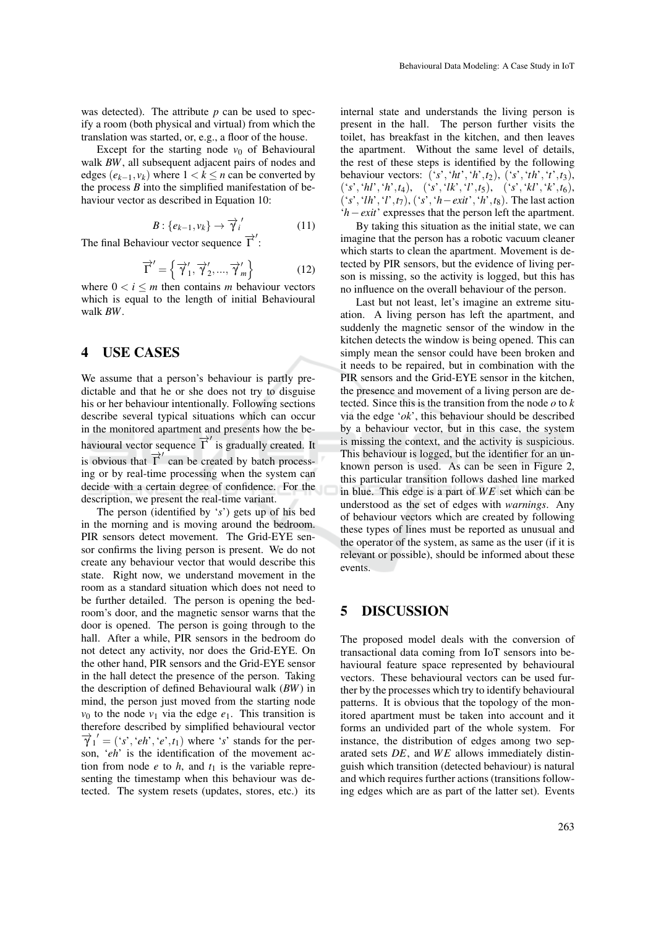was detected). The attribute  $p$  can be used to specify a room (both physical and virtual) from which the translation was started, or, e.g., a floor of the house.

Except for the starting node  $v_0$  of Behavioural walk *BW*, all subsequent adjacent pairs of nodes and edges  $(e_{k-1}, v_k)$  where  $1 < k \leq n$  can be converted by the process *B* into the simplified manifestation of behaviour vector as described in Equation 10:

$$
B: \{e_{k-1}, v_k\} \to \overrightarrow{\gamma}_i' \tag{11}
$$

The final Behaviour vector sequence  $\overrightarrow{\Gamma}'$ :

$$
\overrightarrow{\Gamma}^{\prime} = \left\{ \overrightarrow{\gamma}_1^{\prime}, \overrightarrow{\gamma}_2^{\prime}, ..., \overrightarrow{\gamma}_m^{\prime} \right\}
$$
 (12)

where  $0 < i \leq m$  then contains *m* behaviour vectors which is equal to the length of initial Behavioural walk *BW*.

#### 4 USE CASES

We assume that a person's behaviour is partly predictable and that he or she does not try to disguise his or her behaviour intentionally. Following sections describe several typical situations which can occur in the monitored apartment and presents how the behavioural vector sequence  $\overrightarrow{\Gamma}$  is gradually created. It is obvious that  $\overrightarrow{\Gamma}'$  can be created by batch processing or by real-time processing when the system can decide with a certain degree of confidence. For the description, we present the real-time variant.

The person (identified by '*s*') gets up of his bed in the morning and is moving around the bedroom. PIR sensors detect movement. The Grid-EYE sensor confirms the living person is present. We do not create any behaviour vector that would describe this state. Right now, we understand movement in the room as a standard situation which does not need to be further detailed. The person is opening the bedroom's door, and the magnetic sensor warns that the door is opened. The person is going through to the hall. After a while, PIR sensors in the bedroom do not detect any activity, nor does the Grid-EYE. On the other hand, PIR sensors and the Grid-EYE sensor in the hall detect the presence of the person. Taking the description of defined Behavioural walk (*BW*) in mind, the person just moved from the starting node  $v_0$  to the node  $v_1$  via the edge  $e_1$ . This transition is therefore described by simplified behavioural vector  $\overrightarrow{\gamma}_1' = ('s', 'eh', 'e', t_1)$  where '*s*' stands for the person, '*eh*' is the identification of the movement action from node  $e$  to  $h$ , and  $t_1$  is the variable representing the timestamp when this behaviour was detected. The system resets (updates, stores, etc.) its

internal state and understands the living person is present in the hall. The person further visits the toilet, has breakfast in the kitchen, and then leaves the apartment. Without the same level of details, the rest of these steps is identified by the following behaviour vectors: ('*s*','*ht*','*h*',*t*2), ('*s*','*th*','*t*',*t*3), ('*s*','*hl*','*h*',*t*4), ('*s*','*lk*','*l*',*t*5), ('*s*','*kl*','*k*',*t*6), ('*s*','*lh*','*l*',*t*7), ('*s*','*h*−*exit*','*h*',*t*8). The last action '*h*−*exit*' expresses that the person left the apartment.

By taking this situation as the initial state, we can imagine that the person has a robotic vacuum cleaner which starts to clean the apartment. Movement is detected by PIR sensors, but the evidence of living person is missing, so the activity is logged, but this has no influence on the overall behaviour of the person.

Last but not least, let's imagine an extreme situation. A living person has left the apartment, and suddenly the magnetic sensor of the window in the kitchen detects the window is being opened. This can simply mean the sensor could have been broken and it needs to be repaired, but in combination with the PIR sensors and the Grid-EYE sensor in the kitchen, the presence and movement of a living person are detected. Since this is the transition from the node *o* to *k* via the edge '*ok*', this behaviour should be described by a behaviour vector, but in this case, the system is missing the context, and the activity is suspicious. This behaviour is logged, but the identifier for an unknown person is used. As can be seen in Figure 2, this particular transition follows dashed line marked in blue. This edge is a part of *W E* set which can be understood as the set of edges with *warnings*. Any of behaviour vectors which are created by following these types of lines must be reported as unusual and the operator of the system, as same as the user (if it is relevant or possible), should be informed about these events.

## 5 DISCUSSION

The proposed model deals with the conversion of transactional data coming from IoT sensors into behavioural feature space represented by behavioural vectors. These behavioural vectors can be used further by the processes which try to identify behavioural patterns. It is obvious that the topology of the monitored apartment must be taken into account and it forms an undivided part of the whole system. For instance, the distribution of edges among two separated sets DE, and WE allows immediately distinguish which transition (detected behaviour) is natural and which requires further actions (transitions following edges which are as part of the latter set). Events